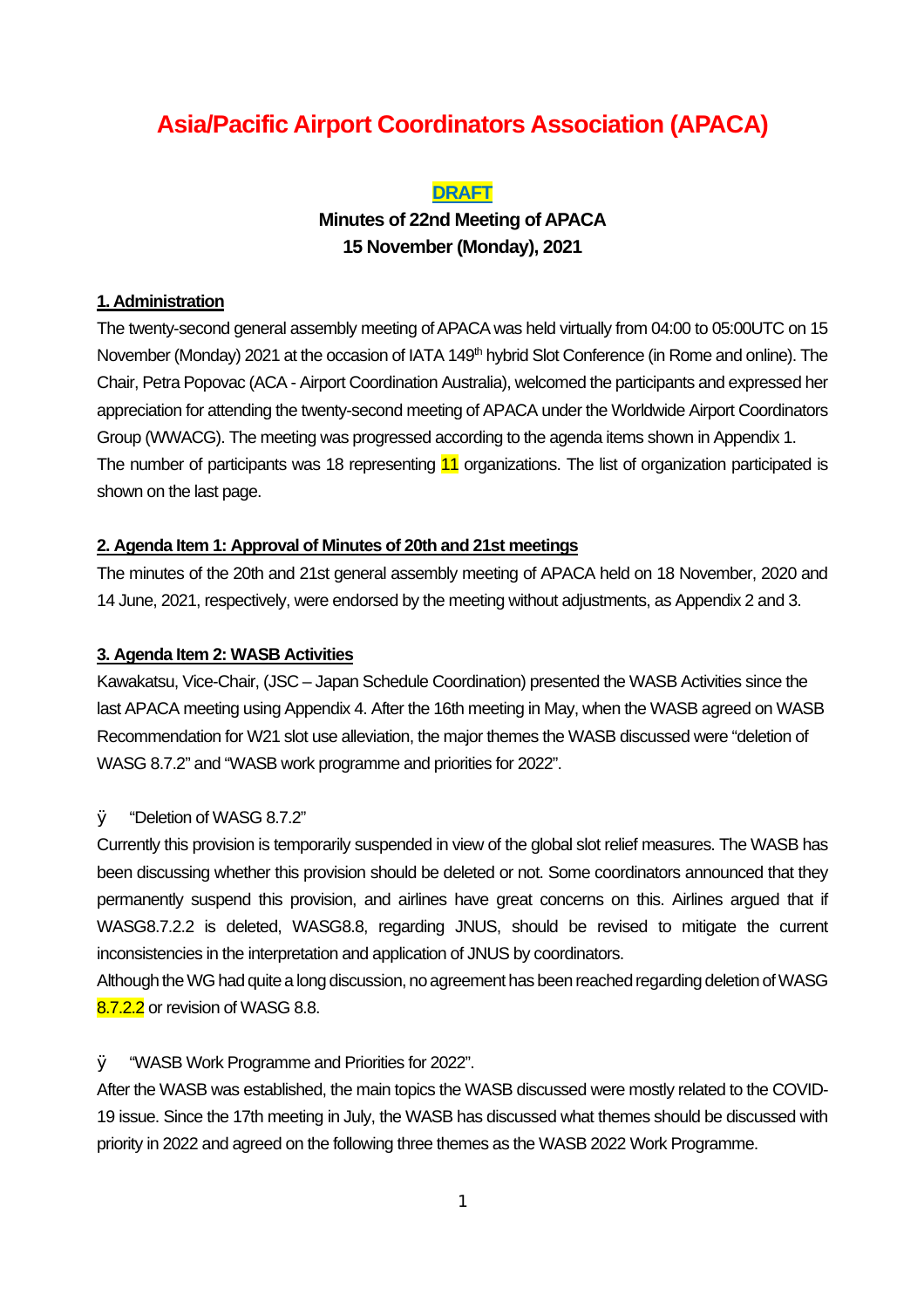## **Asia/Pacific Airport Coordinators Association (APACA)**

#### **DRAFT**

**Minutes of 22nd Meeting of APACA 15 November (Monday), 2021** 

#### **1. Administration**

The twenty-second general assembly meeting of APACA was held virtually from 04:00 to 05:00UTC on 15 November (Monday) 2021 at the occasion of IATA 149<sup>th</sup> hybrid Slot Conference (in Rome and online). The Chair, Petra Popovac (ACA - Airport Coordination Australia), welcomed the participants and expressed her appreciation for attending the twenty-second meeting of APACA under the Worldwide Airport Coordinators Group (WWACG). The meeting was progressed according to the agenda items shown in Appendix 1. The number of participants was 18 representing 11 organizations. The list of organization participated is shown on the last page.

#### **2. Agenda Item 1: Approval of Minutes of 20th and 21st meetings**

The minutes of the 20th and 21st general assembly meeting of APACA held on 18 November, 2020 and 14 June, 2021, respectively, were endorsed by the meeting without adjustments, as Appendix 2 and 3.

#### **3. Agenda Item 2: WASB Activities**

Kawakatsu, Vice-Chair, (JSC – Japan Schedule Coordination) presented the WASB Activities since the last APACA meeting using Appendix 4. After the 16th meeting in May, when the WASB agreed on WASB Recommendation for W21 slot use alleviation, the major themes the WASB discussed were "deletion of WASG 8.7.2" and "WASB work programme and priorities for 2022".

#### Ø "Deletion of WASG 8.7.2"

Currently this provision is temporarily suspended in view of the global slot relief measures. The WASB has been discussing whether this provision should be deleted or not. Some coordinators announced that they permanently suspend this provision, and airlines have great concerns on this. Airlines argued that if WASG8.7.2.2 is deleted, WASG8.8, regarding JNUS, should be revised to mitigate the current inconsistencies in the interpretation and application of JNUS by coordinators.

Although theWGhad quite a long discussion, no agreement has been reached regarding deletion ofWASG 8.7.2.2 or revision of WASG 8.8.

#### Ø "WASB Work Programme and Priorities for 2022".

After the WASB was established, the main topics the WASB discussed were mostly related to the COVID-19 issue. Since the 17th meeting in July, the WASB has discussed what themes should be discussed with priority in 2022 and agreed on the following three themes as the WASB 2022 Work Programme.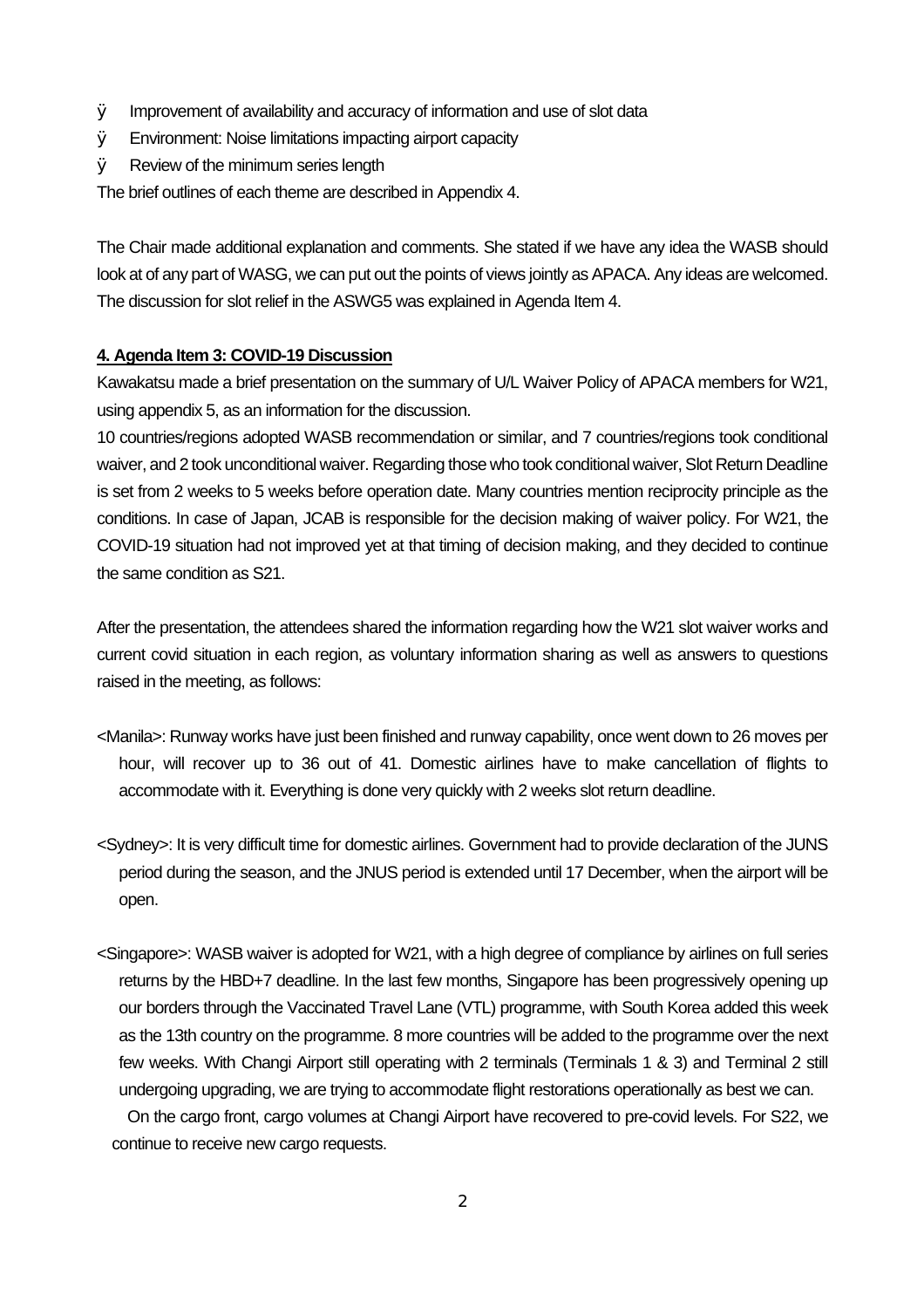- Ø Improvement of availability and accuracy of information and use of slot data
- Ø Environment: Noise limitations impacting airport capacity
- Ø Review of the minimum series length

The brief outlines of each theme are described in Appendix 4.

The Chair made additional explanation and comments. She stated if we have any idea the WASB should look at of any part of WASG, we can put out the points of views jointly as APACA. Any ideas are welcomed. The discussion for slot relief in the ASWG5 was explained in Agenda Item 4.

#### **4. Agenda Item 3: COVID-19 Discussion**

Kawakatsu made a brief presentation on the summary of U/L Waiver Policy of APACA members for W21, using appendix 5, as an information for the discussion.

10 countries/regions adopted WASB recommendation or similar, and 7 countries/regions took conditional waiver, and 2 took unconditional waiver. Regarding those who took conditional waiver, Slot Return Deadline is set from 2 weeks to 5 weeks before operation date. Many countries mention reciprocity principle as the conditions. In case of Japan, JCAB is responsible for the decision making of waiver policy. For W21, the COVID-19 situation had not improved yet at that timing of decision making, and they decided to continue the same condition as S21.

After the presentation, the attendees shared the information regarding how the W21 slot waiver works and current covid situation in each region, as voluntary information sharing as well as answers to questions raised in the meeting, as follows:

- <Manila>: Runway works have just been finished and runway capability, once went down to 26 moves per hour, will recover up to 36 out of 41. Domestic airlines have to make cancellation of flights to accommodate with it. Everything is done very quickly with 2 weeks slot return deadline.
- <Sydney>: It is very difficult time for domestic airlines. Government had to provide declaration of the JUNS period during the season, and the JNUS period is extended until 17 December, when the airport will be open.
- <Singapore>: WASB waiver is adopted for W21, with a high degree of compliance by airlines on full series returns by the HBD+7 deadline. In the last few months, Singapore has been progressively opening up our borders through the Vaccinated Travel Lane (VTL) programme, with South Korea added this week as the 13th country on the programme. 8 more countries will be added to the programme over the next few weeks. With Changi Airport still operating with 2 terminals (Terminals 1 & 3) and Terminal 2 still undergoing upgrading, we are trying to accommodate flight restorations operationally as best we can.

On the cargo front, cargo volumes at Changi Airport have recovered to pre-covid levels. For S22, we continue to receive new cargo requests.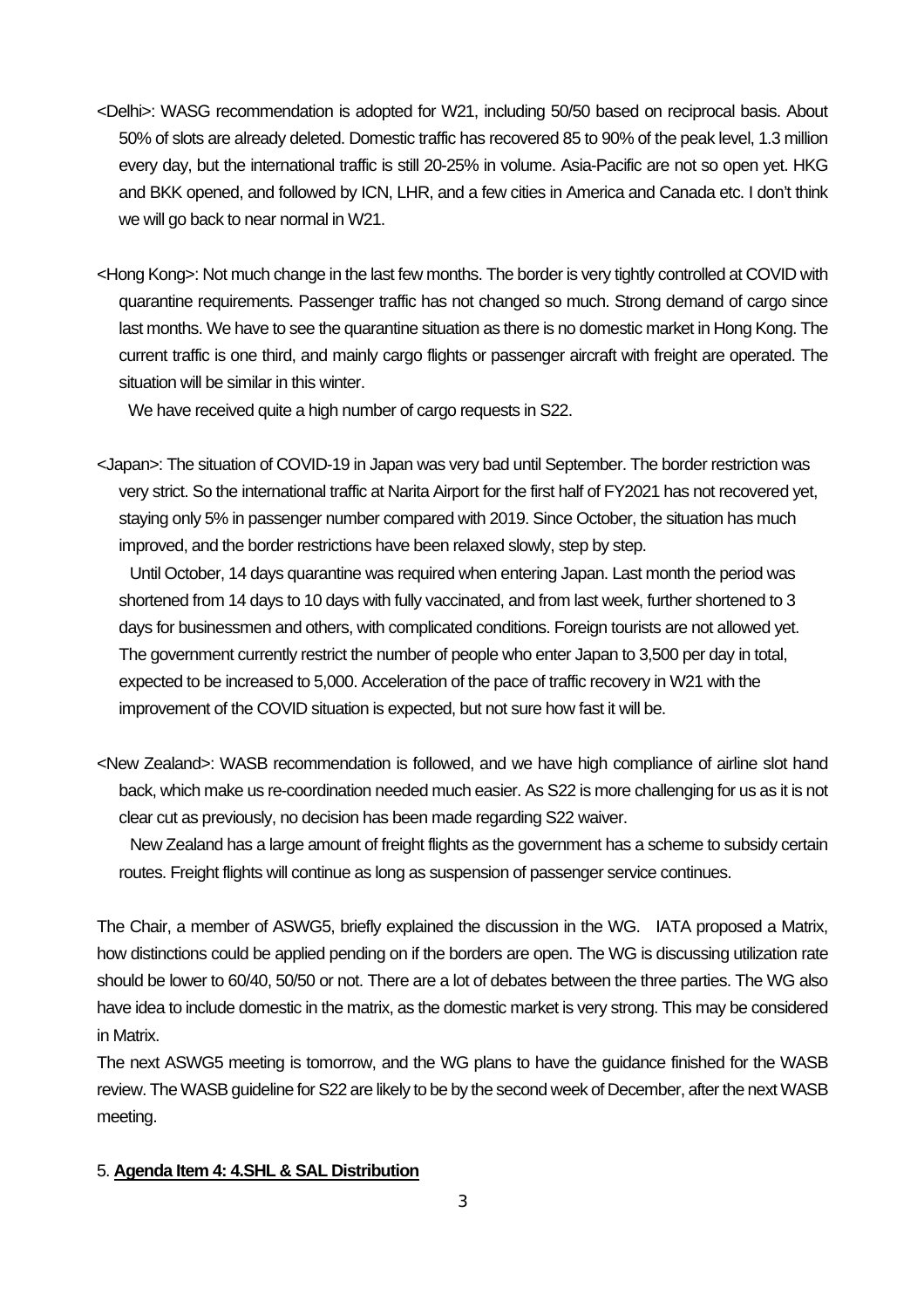- <Delhi>: WASG recommendation is adopted for W21, including 50/50 based on reciprocal basis. About 50% of slots are already deleted. Domestic traffic has recovered 85 to 90% of the peak level, 1.3 million every day, but the international traffic is still 20-25% in volume. Asia-Pacific are not so open yet. HKG and BKK opened, and followed by ICN, LHR, and a few cities in America and Canada etc. I don't think we will go back to near normal in W21.
- <Hong Kong>: Not much change in the last few months. The border is very tightly controlled at COVID with quarantine requirements. Passenger traffic has not changed so much. Strong demand of cargo since last months. We have to see the quarantine situation as there is no domestic market in Hong Kong. The current traffic is one third, and mainly cargo flights or passenger aircraft with freight are operated. The situation will be similar in this winter.

We have received quite a high number of cargo requests in S22.

<Japan>: The situation of COVID-19 in Japan was very bad until September. The border restriction was very strict. So the international traffic at Narita Airport for the first half of FY2021 has not recovered yet, staying only 5% in passenger number compared with 2019. Since October, the situation has much improved, and the border restrictions have been relaxed slowly, step by step.

Until October, 14 days quarantine was required when entering Japan. Last month the period was shortened from 14 days to 10 days with fully vaccinated, and from last week, further shortened to 3 days for businessmen and others, with complicated conditions. Foreign tourists are not allowed yet. The government currently restrict the number of people who enter Japan to 3,500 per day in total, expected to be increased to 5,000. Acceleration of the pace of traffic recovery in W21 with the improvement of the COVID situation is expected, but not sure how fast it will be.

<New Zealand>: WASB recommendation is followed, and we have high compliance of airline slot hand back, which make us re-coordination needed much easier. As S22 is more challenging for us as it is not clear cut as previously, no decision has been made regarding S22 waiver.

New Zealand has a large amount of freight flights as the government has a scheme to subsidy certain routes. Freight flights will continue as long as suspension of passenger service continues.

The Chair, a member of ASWG5, briefly explained the discussion in the WG. IATA proposed a Matrix, how distinctions could be applied pending on if the borders are open. The WG is discussing utilization rate should be lower to 60/40, 50/50 or not. There are a lot of debates between the three parties. The WG also have idea to include domestic in the matrix, as the domestic market is very strong. This may be considered in Matrix.

The next ASWG5 meeting is tomorrow, and the WG plans to have the guidance finished for the WASB review. The WASB guideline for S22 are likely to be by the second week of December, after the next WASB meeting.

#### 5. **Agenda Item 4: 4.SHL & SAL Distribution**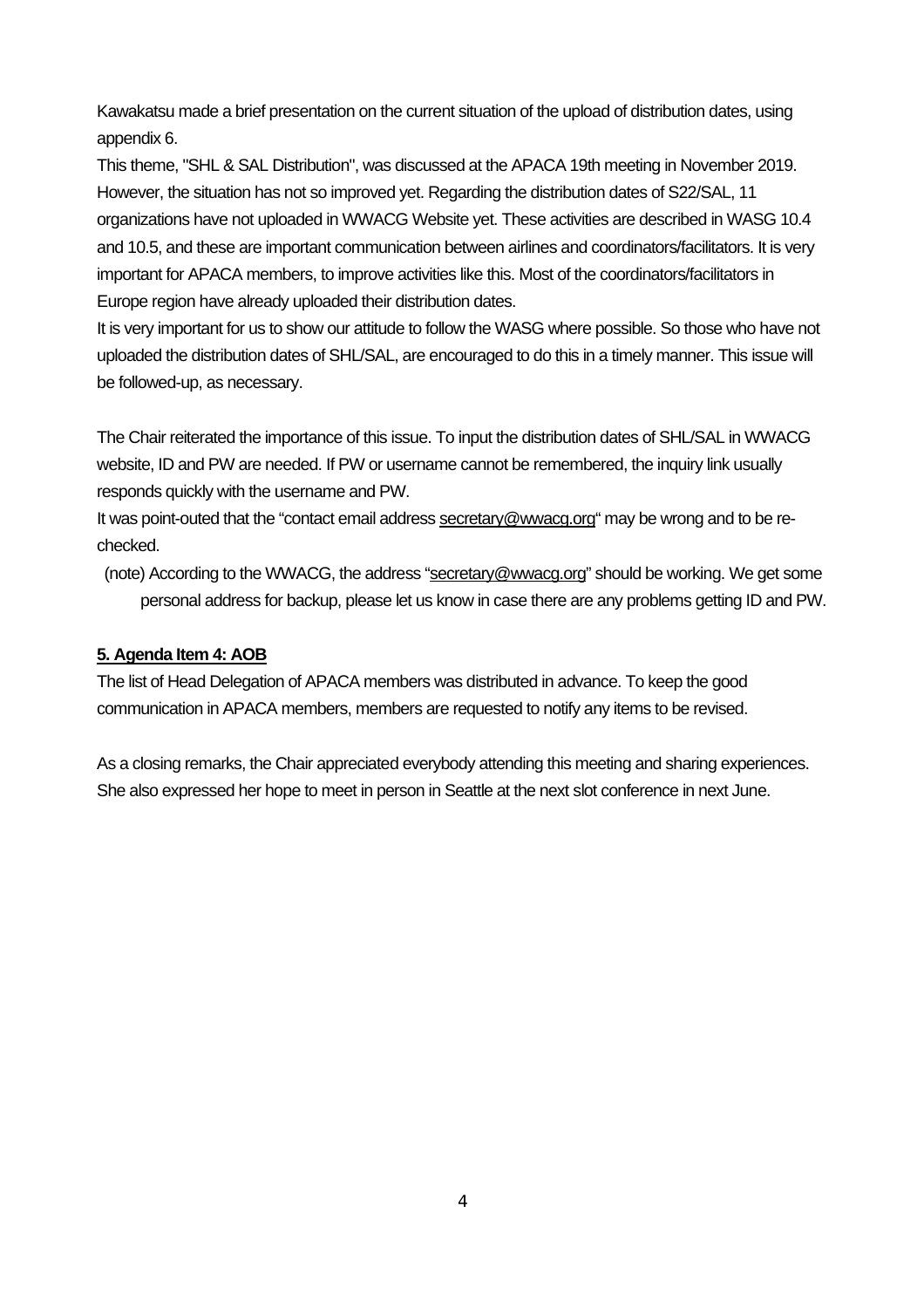Kawakatsu made a brief presentation on the current situation of the upload of distribution dates, using appendix 6.

This theme, "SHL & SAL Distribution", was discussed at the APACA 19th meeting in November 2019. However, the situation has not so improved yet. Regarding the distribution dates of S22/SAL, 11 organizations have not uploaded in WWACG Website yet. These activities are described in WASG 10.4 and 10.5, and these are important communication between airlines and coordinators/facilitators. It is very important for APACA members, to improve activities like this. Most of the coordinators/facilitators in Europe region have already uploaded their distribution dates.

It is very important for us to show our attitude to follow the WASG where possible. So those who have not uploaded the distribution dates of SHL/SAL, are encouraged to do this in a timely manner. This issue will be followed-up, as necessary.

The Chair reiterated the importance of this issue. To input the distribution dates of SHL/SAL in WWACG website, ID and PW are needed. If PW or username cannot be remembered, the inquiry link usually responds quickly with the username and PW.

It was point-outed that the "contact email address [secretary@wwacg.org](mailto:secretary@wwacg.org)" may be wrong and to be rechecked.

(note) According to the WWACG, the address ["secretary@wwacg.org](mailto:secretary@wwacg.org)" should be working. We get some personal address for backup, please let us know in case there are any problems getting ID and PW.

### **5. Agenda Item 4: AOB**

The list of Head Delegation of APACA members was distributed in advance. To keep the good communication in APACA members, members are requested to notify any items to be revised.

As a closing remarks, the Chair appreciated everybody attending this meeting and sharing experiences. She also expressed her hope to meet in person in Seattle at the next slot conference in next June.